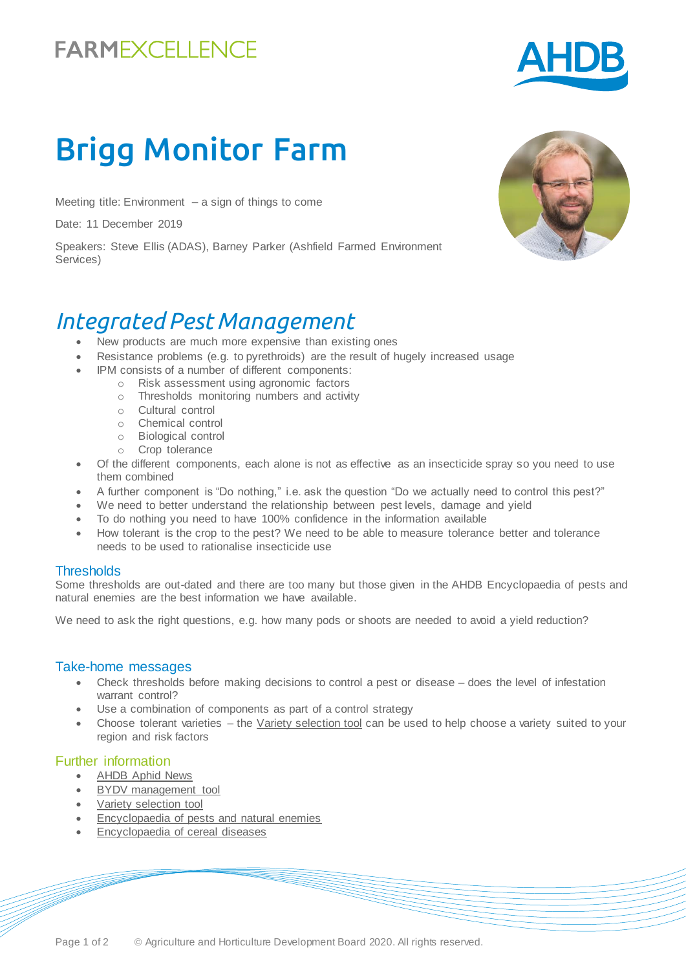# **FARMEXCELLENCE**



# Brigg Monitor Farm

Meeting title: Environment  $-$  a sign of things to come

Date: 11 December 2019

Speakers: Steve Ellis (ADAS), Barney Parker (Ashfield Farmed Environment Services)

### *Integrated Pest Management*

- New products are much more expensive than existing ones
- Resistance problems (e.g. to pyrethroids) are the result of hugely increased usage
- IPM consists of a number of different components:
	- o Risk assessment using agronomic factors
	- o Thresholds monitoring numbers and activity
	- o Cultural control
	- o Chemical control
	- o Biological control
	- o Crop tolerance
- Of the different components, each alone is not as effective as an insecticide spray so you need to use them combined
- A further component is "Do nothing," i.e. ask the question "Do we actually need to control this pest?"
- We need to better understand the relationship between pest levels, damage and yield
- To do nothing you need to have 100% confidence in the information available
- How tolerant is the crop to the pest? We need to be able to measure tolerance better and tolerance needs to be used to rationalise insecticide use

#### **Thresholds**

Some thresholds are out-dated and there are too many but those given in the AHDB Encyclopaedia of pests and natural enemies are the best information we have available.

We need to ask the right questions, e.g. how many pods or shoots are needed to avoid a yield reduction?

#### Take-home messages

- Check thresholds before making decisions to control a pest or disease does the level of infestation warrant control?
- Use a combination of components as part of a control strategy
- Choose tolerant varieties the [Variety selection tool](https://ahdb.org.uk/vst) can be used to help choose a variety suited to your region and risk factors

#### Further information

- [AHDB Aphid News](https://ahdb.org.uk/aphid-news)
- [BYDV management tool](https://ahdb.org.uk/bydv)
- [Variety selection tool](https://ahdb.org.uk/vst)
- [Encyclopaedia of pests and natural enemies](https://ahdb.org.uk/pests)
- [Encyclopaedia of cereal diseases](https://ahdb.org.uk/encyclopaedia-of-cereal-diseases)